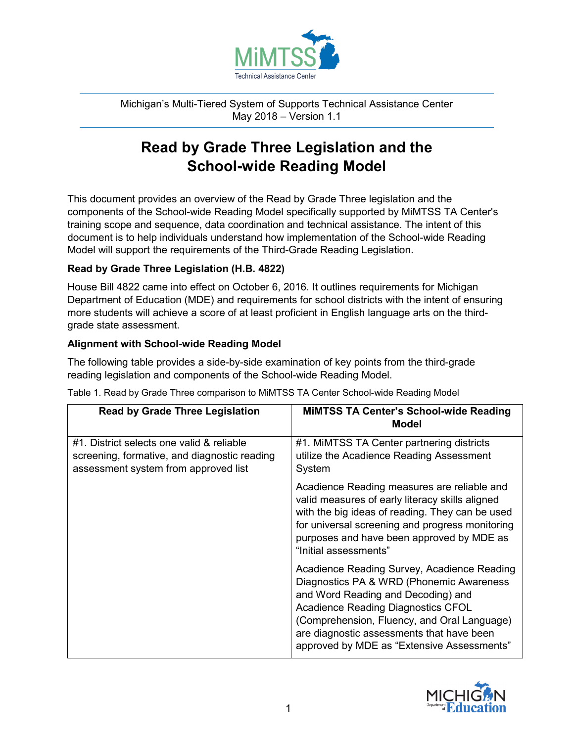

Michigan's Multi-Tiered System of Supports Technical Assistance Center May 2018 – Version 1.1

## **Read by Grade Three Legislation and the School-wide Reading Model**

This document provides an overview of the Read by Grade Three legislation and the components of the School-wide Reading Model specifically supported by MiMTSS TA Center's training scope and sequence, data coordination and technical assistance. The intent of this document is to help individuals understand how implementation of the School-wide Reading Model will support the requirements of the Third-Grade Reading Legislation.

## **Read by Grade Three Legislation (H.B. 4822)**

House Bill 4822 came into effect on October 6, 2016. It outlines requirements for Michigan Department of Education (MDE) and requirements for school districts with the intent of ensuring more students will achieve a score of at least proficient in English language arts on the thirdgrade state assessment.

## **Alignment with School-wide Reading Model**

The following table provides a side-by-side examination of key points from the third-grade reading legislation and components of the School-wide Reading Model.

| <b>Read by Grade Three Legislation</b>                                                                                            | <b>MIMTSS TA Center's School-wide Reading</b><br>Model                                                                                                                                                                                                                                                               |
|-----------------------------------------------------------------------------------------------------------------------------------|----------------------------------------------------------------------------------------------------------------------------------------------------------------------------------------------------------------------------------------------------------------------------------------------------------------------|
| #1. District selects one valid & reliable<br>screening, formative, and diagnostic reading<br>assessment system from approved list | #1. MIMTSS TA Center partnering districts<br>utilize the Acadience Reading Assessment<br>System                                                                                                                                                                                                                      |
|                                                                                                                                   | Acadience Reading measures are reliable and<br>valid measures of early literacy skills aligned<br>with the big ideas of reading. They can be used<br>for universal screening and progress monitoring<br>purposes and have been approved by MDE as<br>"Initial assessments"                                           |
|                                                                                                                                   | Acadience Reading Survey, Acadience Reading<br>Diagnostics PA & WRD (Phonemic Awareness<br>and Word Reading and Decoding) and<br><b>Acadience Reading Diagnostics CFOL</b><br>(Comprehension, Fluency, and Oral Language)<br>are diagnostic assessments that have been<br>approved by MDE as "Extensive Assessments" |

Table 1. Read by Grade Three comparison to MiMTSS TA Center School-wide Reading Model

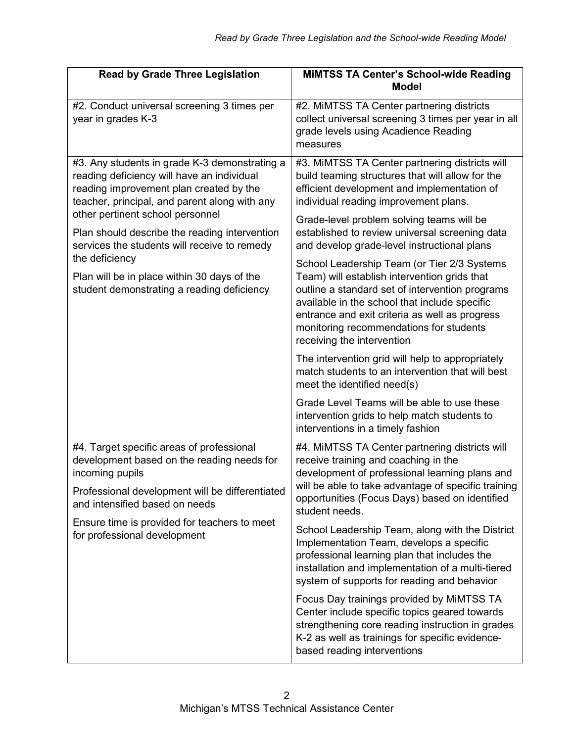| <b>Read by Grade Three Legislation</b>                                                                                                                                                                                                                                                                                                                                                                                                      | <b>MIMTSS TA Center's School-wide Reading</b><br><b>Model</b>                                                                                                                                                                                                                                                                                                                                                                                                                     |
|---------------------------------------------------------------------------------------------------------------------------------------------------------------------------------------------------------------------------------------------------------------------------------------------------------------------------------------------------------------------------------------------------------------------------------------------|-----------------------------------------------------------------------------------------------------------------------------------------------------------------------------------------------------------------------------------------------------------------------------------------------------------------------------------------------------------------------------------------------------------------------------------------------------------------------------------|
| #2. Conduct universal screening 3 times per<br>year in grades K-3                                                                                                                                                                                                                                                                                                                                                                           | #2. MIMTSS TA Center partnering districts<br>collect universal screening 3 times per year in all<br>grade levels using Acadience Reading<br>measures                                                                                                                                                                                                                                                                                                                              |
| #3. Any students in grade K-3 demonstrating a<br>reading deficiency will have an individual<br>reading improvement plan created by the<br>teacher, principal, and parent along with any<br>other pertinent school personnel<br>Plan should describe the reading intervention<br>services the students will receive to remedy<br>the deficiency<br>Plan will be in place within 30 days of the<br>student demonstrating a reading deficiency | #3. MiMTSS TA Center partnering districts will<br>build teaming structures that will allow for the<br>efficient development and implementation of<br>individual reading improvement plans.<br>Grade-level problem solving teams will be<br>established to review universal screening data                                                                                                                                                                                         |
|                                                                                                                                                                                                                                                                                                                                                                                                                                             | and develop grade-level instructional plans<br>School Leadership Team (or Tier 2/3 Systems<br>Team) will establish intervention grids that<br>outline a standard set of intervention programs<br>available in the school that include specific<br>entrance and exit criteria as well as progress<br>monitoring recommendations for students<br>receiving the intervention<br>The intervention grid will help to appropriately<br>match students to an intervention that will best |
|                                                                                                                                                                                                                                                                                                                                                                                                                                             | meet the identified need(s)<br>Grade Level Teams will be able to use these<br>intervention grids to help match students to<br>interventions in a timely fashion                                                                                                                                                                                                                                                                                                                   |
| #4. Target specific areas of professional<br>development based on the reading needs for<br>incoming pupils<br>Professional development will be differentiated<br>and intensified based on needs<br>Ensure time is provided for teachers to meet<br>for professional development                                                                                                                                                             | #4. MIMTSS TA Center partnering districts will<br>receive training and coaching in the<br>development of professional learning plans and<br>will be able to take advantage of specific training<br>opportunities (Focus Days) based on identified<br>student needs.                                                                                                                                                                                                               |
|                                                                                                                                                                                                                                                                                                                                                                                                                                             | School Leadership Team, along with the District<br>Implementation Team, develops a specific<br>professional learning plan that includes the<br>installation and implementation of a multi-tiered<br>system of supports for reading and behavior                                                                                                                                                                                                                                   |
|                                                                                                                                                                                                                                                                                                                                                                                                                                             | Focus Day trainings provided by MiMTSS TA<br>Center include specific topics geared towards<br>strengthening core reading instruction in grades<br>K-2 as well as trainings for specific evidence-<br>based reading interventions                                                                                                                                                                                                                                                  |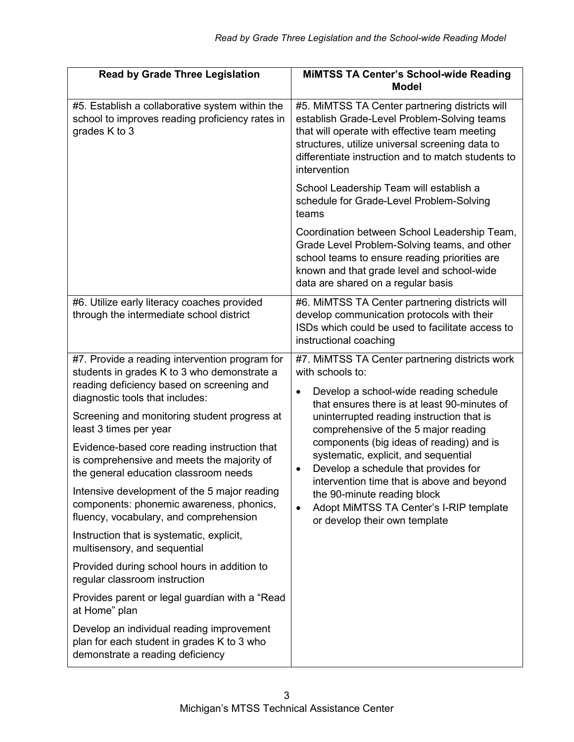| <b>Read by Grade Three Legislation</b>                                                                                                                                        | <b>MIMTSS TA Center's School-wide Reading</b><br><b>Model</b>                                                                                                                                                                                                                                                                                                                                                                                                                                                                                                                 |
|-------------------------------------------------------------------------------------------------------------------------------------------------------------------------------|-------------------------------------------------------------------------------------------------------------------------------------------------------------------------------------------------------------------------------------------------------------------------------------------------------------------------------------------------------------------------------------------------------------------------------------------------------------------------------------------------------------------------------------------------------------------------------|
| #5. Establish a collaborative system within the<br>school to improves reading proficiency rates in<br>grades K to 3                                                           | #5. MiMTSS TA Center partnering districts will<br>establish Grade-Level Problem-Solving teams<br>that will operate with effective team meeting<br>structures, utilize universal screening data to<br>differentiate instruction and to match students to<br>intervention                                                                                                                                                                                                                                                                                                       |
|                                                                                                                                                                               | School Leadership Team will establish a<br>schedule for Grade-Level Problem-Solving<br>teams                                                                                                                                                                                                                                                                                                                                                                                                                                                                                  |
|                                                                                                                                                                               | Coordination between School Leadership Team,<br>Grade Level Problem-Solving teams, and other<br>school teams to ensure reading priorities are<br>known and that grade level and school-wide<br>data are shared on a regular basis                                                                                                                                                                                                                                                                                                                                             |
| #6. Utilize early literacy coaches provided<br>through the intermediate school district                                                                                       | #6. MiMTSS TA Center partnering districts will<br>develop communication protocols with their<br>ISDs which could be used to facilitate access to<br>instructional coaching                                                                                                                                                                                                                                                                                                                                                                                                    |
| #7. Provide a reading intervention program for<br>students in grades K to 3 who demonstrate a<br>reading deficiency based on screening and<br>diagnostic tools that includes: | #7. MiMTSS TA Center partnering districts work<br>with schools to:<br>Develop a school-wide reading schedule<br>$\bullet$<br>that ensures there is at least 90-minutes of<br>uninterrupted reading instruction that is<br>comprehensive of the 5 major reading<br>components (big ideas of reading) and is<br>systematic, explicit, and sequential<br>Develop a schedule that provides for<br>$\bullet$<br>intervention time that is above and beyond<br>the 90-minute reading block<br>Adopt MiMTSS TA Center's I-RIP template<br>$\bullet$<br>or develop their own template |
| Screening and monitoring student progress at<br>least 3 times per year                                                                                                        |                                                                                                                                                                                                                                                                                                                                                                                                                                                                                                                                                                               |
| Evidence-based core reading instruction that<br>is comprehensive and meets the majority of<br>the general education classroom needs                                           |                                                                                                                                                                                                                                                                                                                                                                                                                                                                                                                                                                               |
| Intensive development of the 5 major reading<br>components: phonemic awareness, phonics,<br>fluency, vocabulary, and comprehension                                            |                                                                                                                                                                                                                                                                                                                                                                                                                                                                                                                                                                               |
| Instruction that is systematic, explicit,<br>multisensory, and sequential                                                                                                     |                                                                                                                                                                                                                                                                                                                                                                                                                                                                                                                                                                               |
| Provided during school hours in addition to<br>regular classroom instruction                                                                                                  |                                                                                                                                                                                                                                                                                                                                                                                                                                                                                                                                                                               |
| Provides parent or legal guardian with a "Read<br>at Home" plan                                                                                                               |                                                                                                                                                                                                                                                                                                                                                                                                                                                                                                                                                                               |
| Develop an individual reading improvement<br>plan for each student in grades K to 3 who<br>demonstrate a reading deficiency                                                   |                                                                                                                                                                                                                                                                                                                                                                                                                                                                                                                                                                               |